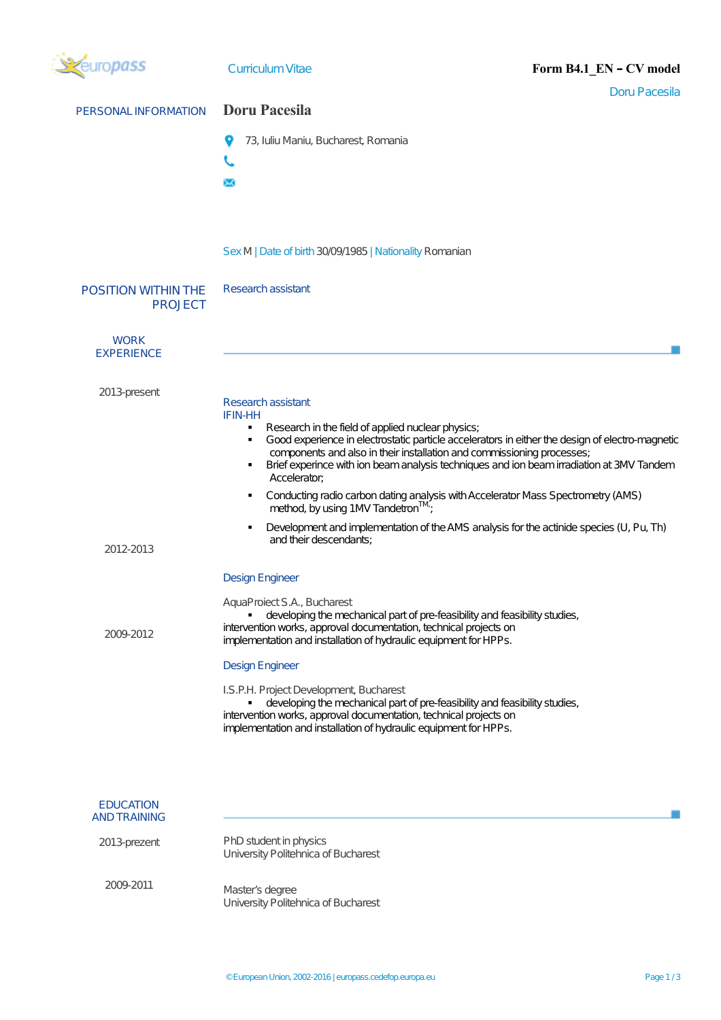| ropass                                       | <b>Curriculum Vitae</b><br>Form B4.1_EN - CV model                                                                                                                                                                                                                                                                                                                                                                                                                                                                                                                                                                                                                            |  |  |  |
|----------------------------------------------|-------------------------------------------------------------------------------------------------------------------------------------------------------------------------------------------------------------------------------------------------------------------------------------------------------------------------------------------------------------------------------------------------------------------------------------------------------------------------------------------------------------------------------------------------------------------------------------------------------------------------------------------------------------------------------|--|--|--|
| PERSONAL INFORMATION                         | <b>Doru Pacesila</b><br><b>Doru Pacesila</b>                                                                                                                                                                                                                                                                                                                                                                                                                                                                                                                                                                                                                                  |  |  |  |
|                                              | 73, Iuliu Maniu, Bucharest, Romania<br>$\times$                                                                                                                                                                                                                                                                                                                                                                                                                                                                                                                                                                                                                               |  |  |  |
|                                              | Sex M   Date of birth 30/09/1985   Nationality Romanian                                                                                                                                                                                                                                                                                                                                                                                                                                                                                                                                                                                                                       |  |  |  |
| <b>POSITION WITHIN THE</b><br><b>PROJECT</b> | Research assistant                                                                                                                                                                                                                                                                                                                                                                                                                                                                                                                                                                                                                                                            |  |  |  |
| <b>WORK</b><br><b>EXPERIENCE</b>             |                                                                                                                                                                                                                                                                                                                                                                                                                                                                                                                                                                                                                                                                               |  |  |  |
| 2013-present                                 | Research assistant<br><b>IFIN-HH</b><br>Research in the field of applied nuclear physics;<br>$\blacksquare$<br>Good experience in electrostatic particle accelerators in either the design of electro-magnetic<br>$\blacksquare$<br>components and also in their installation and commissioning processes;<br>Brief experince with ion beam analysis techniques and ion beam irradiation at 3MV Tandem<br>Accelerator;<br>Conducting radio carbon dating analysis with Accelerator Mass Spectrometry (AMS)<br>٠<br>method, by using 1MV Tandetron™;<br>Development and implementation of the AMS analysis for the actinide species (U, Pu, Th)<br>٠<br>and their descendants: |  |  |  |
| 2012-2013                                    | <b>Design Engineer</b>                                                                                                                                                                                                                                                                                                                                                                                                                                                                                                                                                                                                                                                        |  |  |  |
| 2009-2012                                    | AquaProiect S.A., Bucharest<br>developing the mechanical part of pre-feasibility and feasibility studies,<br>intervention works, approval documentation, technical projects on<br>implementation and installation of hydraulic equipment for HPPs.<br><b>Design Engineer</b><br>I.S.P.H. Project Development, Bucharest<br>developing the mechanical part of pre-feasibility and feasibility studies,<br>intervention works, approval documentation, technical projects on<br>implementation and installation of hydraulic equipment for HPPs.                                                                                                                                |  |  |  |
| <b>EDUCATION</b>                             |                                                                                                                                                                                                                                                                                                                                                                                                                                                                                                                                                                                                                                                                               |  |  |  |
| <b>AND TRAINING</b><br>2013-prezent          | PhD student in physics<br>University Politehnica of Bucharest                                                                                                                                                                                                                                                                                                                                                                                                                                                                                                                                                                                                                 |  |  |  |
| 2009-2011                                    | Master's degree<br>University Politehnica of Bucharest                                                                                                                                                                                                                                                                                                                                                                                                                                                                                                                                                                                                                        |  |  |  |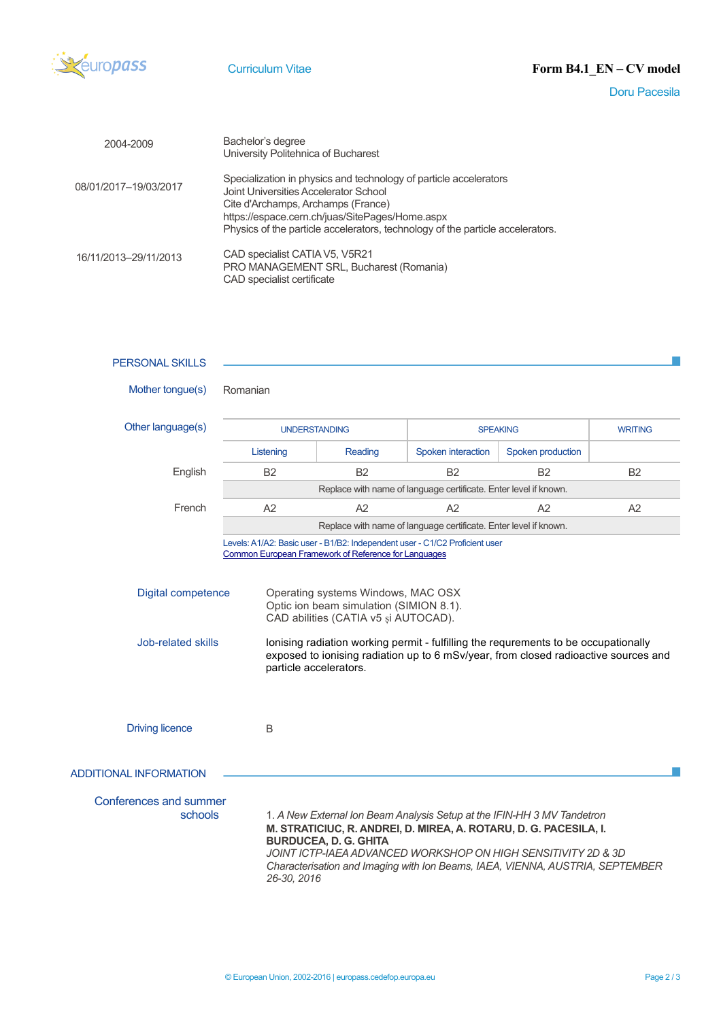

Doru Pacesila

| 2004-2009             | Bachelor's degree<br>University Politehnica of Bucharest                                                                                                                                                                                                                              |
|-----------------------|---------------------------------------------------------------------------------------------------------------------------------------------------------------------------------------------------------------------------------------------------------------------------------------|
| 08/01/2017-19/03/2017 | Specialization in physics and technology of particle accelerators<br>Joint Universities Accelerator School<br>Cite d'Archamps, Archamps (France)<br>https://espace.cern.ch/juas/SitePages/Home.aspx<br>Physics of the particle accelerators, technology of the particle accelerators. |
| 16/11/2013-29/11/2013 | CAD specialist CATIA V5, V5R21<br>PRO MANAGEMENT SRL, Bucharest (Romania)<br>CAD specialist certificate                                                                                                                                                                               |

| <b>PERSONAL SKILLS</b>                                 |                                                                  |                                                                                                                                                                                                                                                                                                                                                                                                                                                                      |                                                                                                                                                                                                                                                                                                |                   |                |  |
|--------------------------------------------------------|------------------------------------------------------------------|----------------------------------------------------------------------------------------------------------------------------------------------------------------------------------------------------------------------------------------------------------------------------------------------------------------------------------------------------------------------------------------------------------------------------------------------------------------------|------------------------------------------------------------------------------------------------------------------------------------------------------------------------------------------------------------------------------------------------------------------------------------------------|-------------------|----------------|--|
| Mother tongue(s)                                       | Romanian                                                         |                                                                                                                                                                                                                                                                                                                                                                                                                                                                      |                                                                                                                                                                                                                                                                                                |                   |                |  |
| Other language(s)                                      |                                                                  | <b>UNDERSTANDING</b>                                                                                                                                                                                                                                                                                                                                                                                                                                                 | <b>SPEAKING</b>                                                                                                                                                                                                                                                                                |                   | <b>WRITING</b> |  |
|                                                        | Listening                                                        | Reading                                                                                                                                                                                                                                                                                                                                                                                                                                                              | Spoken interaction                                                                                                                                                                                                                                                                             | Spoken production |                |  |
| English                                                | <b>B2</b>                                                        | <b>B2</b>                                                                                                                                                                                                                                                                                                                                                                                                                                                            | <b>B2</b>                                                                                                                                                                                                                                                                                      | <b>B2</b>         | <b>B2</b>      |  |
|                                                        | Replace with name of language certificate. Enter level if known. |                                                                                                                                                                                                                                                                                                                                                                                                                                                                      |                                                                                                                                                                                                                                                                                                |                   |                |  |
| French                                                 | A2                                                               | A2                                                                                                                                                                                                                                                                                                                                                                                                                                                                   | A2                                                                                                                                                                                                                                                                                             | A2                | A2             |  |
|                                                        | Replace with name of language certificate. Enter level if known. |                                                                                                                                                                                                                                                                                                                                                                                                                                                                      |                                                                                                                                                                                                                                                                                                |                   |                |  |
| <b>Digital competence</b><br><b>Job-related skills</b> |                                                                  | Levels: A1/A2: Basic user - B1/B2: Independent user - C1/C2 Proficient user<br>Common European Framework of Reference for Languages<br>Operating systems Windows, MAC OSX<br>Optic ion beam simulation (SIMION 8.1).<br>CAD abilities (CATIA v5 și AUTOCAD).<br>lonising radiation working permit - fulfilling the requrements to be occupationally<br>exposed to ionising radiation up to 6 mSv/year, from closed radioactive sources and<br>particle accelerators. |                                                                                                                                                                                                                                                                                                |                   |                |  |
| <b>Driving licence</b>                                 | B                                                                |                                                                                                                                                                                                                                                                                                                                                                                                                                                                      |                                                                                                                                                                                                                                                                                                |                   |                |  |
| <b>ADDITIONAL INFORMATION</b>                          |                                                                  |                                                                                                                                                                                                                                                                                                                                                                                                                                                                      |                                                                                                                                                                                                                                                                                                |                   |                |  |
| Conferences and summer<br>schools                      | 26-30, 2016                                                      | <b>BURDUCEA, D. G. GHITA</b>                                                                                                                                                                                                                                                                                                                                                                                                                                         | 1. A New External Ion Beam Analysis Setup at the IFIN-HH 3 MV Tandetron<br>M. STRATICIUC, R. ANDREI, D. MIREA, A. ROTARU, D. G. PACESILA, I.<br>JOINT ICTP-IAEA ADVANCED WORKSHOP ON HIGH SENSITIVITY 2D & 3D<br>Characterisation and Imaging with Ion Beams, IAEA, VIENNA, AUSTRIA, SEPTEMBER |                   |                |  |